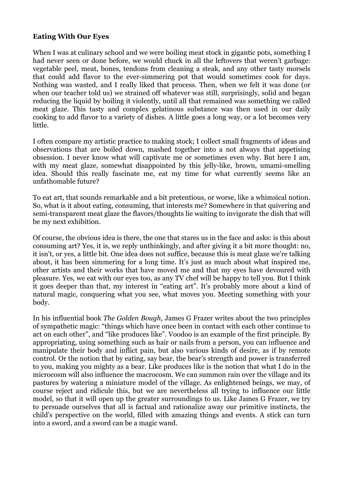## **Eating With Our Eyes**

When I was at culinary school and we were boiling meat stock in gigantic pots, something I had never seen or done before, we would chuck in all the leftovers that weren't garbage: vegetable peel, meat, bones, tendons from cleaning a steak, and any other tasty morsels that could add flavor to the ever-simmering pot that would sometimes cook for days. Nothing was wasted, and I really liked that process. Then, when we felt it was done (or when our teacher told us) we strained off whatever was still, surprisingly, solid and began reducing the liquid by boiling it violently, until all that remained was something we called meat glaze. This tasty and complex gelatinous substance was then used in our daily cooking to add flavor to a variety of dishes. A little goes a long way, or a lot becomes very little.

I often compare my artistic practice to making stock; I collect small fragments of ideas and observations that are boiled down, mashed together into a not always that appetising obsession. I never know what will captivate me or sometimes even why. But here I am, with my meat glaze, somewhat disappointed by this jelly-like, brown, umami-smelling idea. Should this really fascinate me, eat my time for what currently seems like an unfathomable future?

To eat art, that sounds remarkable and a bit pretentious, or worse, like a whimsical notion. So, what is it about eating, consuming, that interests me? Somewhere in that quivering and semi-transparent meat glaze the flavors/thoughts lie waiting to invigorate the dish that will be my next exhibition.

Of course, the obvious idea is there, the one that stares us in the face and asks: is this about consuming art? Yes, it is, we reply unthinkingly, and after giving it a bit more thought: no, it isn't, or yes, a little bit. One idea does not suffice, because this is meat glaze we're talking about, it has been simmering for a long time. It's just as much about what inspired me, other artists and their works that have moved me and that my eyes have devoured with pleasure. Yes, we eat with our eyes too, as any TV chef will be happy to tell you. But I think it goes deeper than that, my interest in "eating art". It's probably more about a kind of natural magic, conquering what you see, what moves you. Meeting something with your body.

In his influential book *The Golden Bough*, James G Frazer writes about the two principles of sympathetic magic: "things which have once been in contact with each other continue to act on each other", and "like produces like". Voodoo is an example of the first principle. By appropriating, using something such as hair or nails from a person, you can influence and manipulate their body and inflict pain, but also various kinds of desire, as if by remote control. Or the notion that by eating, say bear, the bear's strength and power is transferred to you, making you mighty as a bear. Like produces like is the notion that what I do in the microcosm will also influence the macrocosm. We can summon rain over the village and its pastures by watering a miniature model of the village. As enlightened beings, we may, of course reject and ridicule this, but we are nevertheless all trying to influence our little model, so that it will open up the greater surroundings to us. Like James G Frazer, we try to persuade ourselves that all is factual and rationalize away our primitive instincts, the child's perspective on the world, filled with amazing things and events. A stick can turn into a sword, and a sword can be a magic wand.